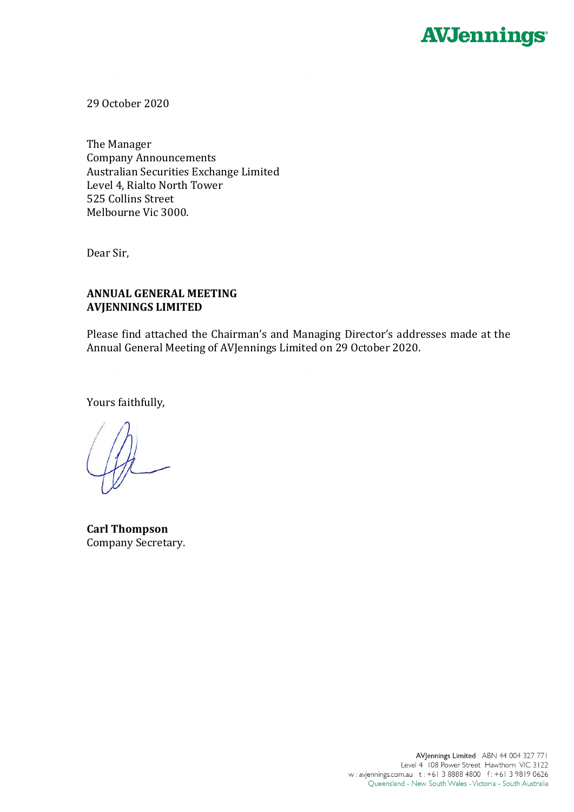

29 October 2020

The Manager Company Announcements Australian Securities Exchange Limited Level 4, Rialto North Tower 525 Collins Street Melbourne Vic 3000.

Dear Sir,

## **ANNUAL GENERAL MEETING AVJENNINGS LIMITED**

Please find attached the Chairman's and Managing Director's addresses made at the Annual General Meeting of AVJennings Limited on 29 October 2020.

Yours faithfully,

**Carl Thompson** Company Secretary.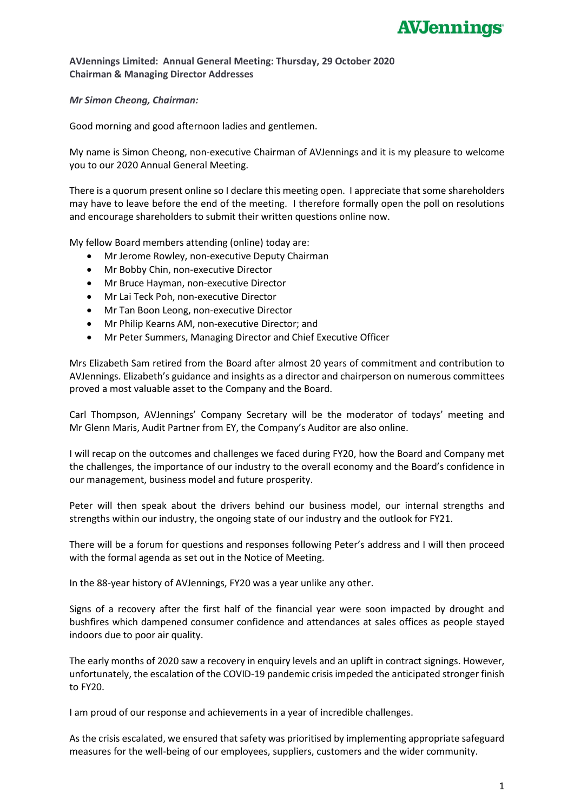

## **AVJennings Limited: Annual General Meeting: Thursday, 29 October 2020 Chairman & Managing Director Addresses**

*Mr Simon Cheong, Chairman:*

Good morning and good afternoon ladies and gentlemen.

My name is Simon Cheong, non-executive Chairman of AVJennings and it is my pleasure to welcome you to our 2020 Annual General Meeting.

There is a quorum present online so I declare this meeting open. I appreciate that some shareholders may have to leave before the end of the meeting. I therefore formally open the poll on resolutions and encourage shareholders to submit their written questions online now.

My fellow Board members attending (online) today are:

- Mr Jerome Rowley, non-executive Deputy Chairman
- Mr Bobby Chin, non-executive Director
- Mr Bruce Hayman, non-executive Director
- Mr Lai Teck Poh, non-executive Director
- Mr Tan Boon Leong, non-executive Director
- Mr Philip Kearns AM, non-executive Director; and
- Mr Peter Summers, Managing Director and Chief Executive Officer

Mrs Elizabeth Sam retired from the Board after almost 20 years of commitment and contribution to AVJennings. Elizabeth's guidance and insights as a director and chairperson on numerous committees proved a most valuable asset to the Company and the Board.

Carl Thompson, AVJennings' Company Secretary will be the moderator of todays' meeting and Mr Glenn Maris, Audit Partner from EY, the Company's Auditor are also online.

I will recap on the outcomes and challenges we faced during FY20, how the Board and Company met the challenges, the importance of our industry to the overall economy and the Board's confidence in our management, business model and future prosperity.

Peter will then speak about the drivers behind our business model, our internal strengths and strengths within our industry, the ongoing state of our industry and the outlook for FY21.

There will be a forum for questions and responses following Peter's address and I will then proceed with the formal agenda as set out in the Notice of Meeting.

In the 88-year history of AVJennings, FY20 was a year unlike any other.

Signs of a recovery after the first half of the financial year were soon impacted by drought and bushfires which dampened consumer confidence and attendances at sales offices as people stayed indoors due to poor air quality.

The early months of 2020 saw a recovery in enquiry levels and an uplift in contract signings. However, unfortunately, the escalation of the COVID-19 pandemic crisis impeded the anticipated stronger finish to FY20.

I am proud of our response and achievements in a year of incredible challenges.

As the crisis escalated, we ensured that safety was prioritised by implementing appropriate safeguard measures for the well-being of our employees, suppliers, customers and the wider community.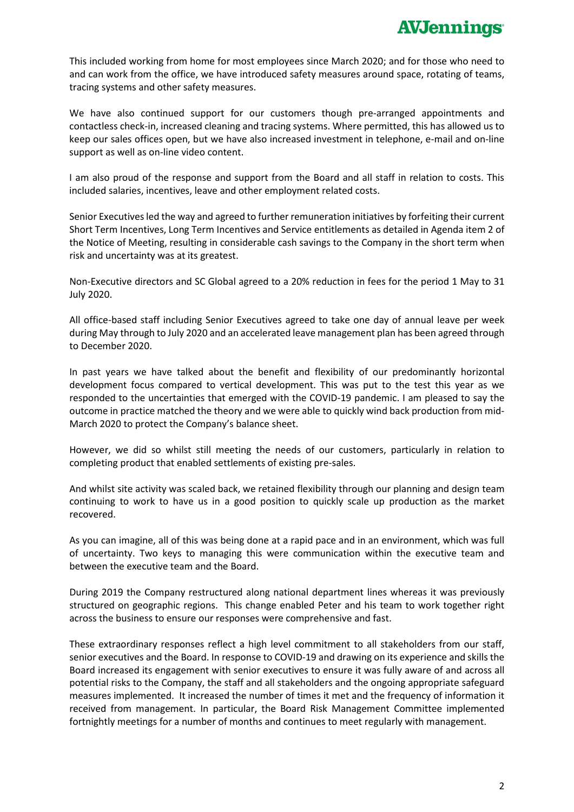This included working from home for most employees since March 2020; and for those who need to and can work from the office, we have introduced safety measures around space, rotating of teams, tracing systems and other safety measures.

We have also continued support for our customers though pre-arranged appointments and contactless check-in, increased cleaning and tracing systems. Where permitted, this has allowed us to keep our sales offices open, but we have also increased investment in telephone, e-mail and on-line support as well as on-line video content.

I am also proud of the response and support from the Board and all staff in relation to costs. This included salaries, incentives, leave and other employment related costs.

Senior Executives led the way and agreed to further remuneration initiatives by forfeiting their current Short Term Incentives, Long Term Incentives and Service entitlements as detailed in Agenda item 2 of the Notice of Meeting, resulting in considerable cash savings to the Company in the short term when risk and uncertainty was at its greatest.

Non-Executive directors and SC Global agreed to a 20% reduction in fees for the period 1 May to 31 July 2020.

All office-based staff including Senior Executives agreed to take one day of annual leave per week during May through to July 2020 and an accelerated leave management plan has been agreed through to December 2020.

In past years we have talked about the benefit and flexibility of our predominantly horizontal development focus compared to vertical development. This was put to the test this year as we responded to the uncertainties that emerged with the COVID-19 pandemic. I am pleased to say the outcome in practice matched the theory and we were able to quickly wind back production from mid-March 2020 to protect the Company's balance sheet.

However, we did so whilst still meeting the needs of our customers, particularly in relation to completing product that enabled settlements of existing pre-sales.

And whilst site activity was scaled back, we retained flexibility through our planning and design team continuing to work to have us in a good position to quickly scale up production as the market recovered.

As you can imagine, all of this was being done at a rapid pace and in an environment, which was full of uncertainty. Two keys to managing this were communication within the executive team and between the executive team and the Board.

During 2019 the Company restructured along national department lines whereas it was previously structured on geographic regions. This change enabled Peter and his team to work together right across the business to ensure our responses were comprehensive and fast.

These extraordinary responses reflect a high level commitment to all stakeholders from our staff, senior executives and the Board. In response to COVID-19 and drawing on its experience and skills the Board increased its engagement with senior executives to ensure it was fully aware of and across all potential risks to the Company, the staff and all stakeholders and the ongoing appropriate safeguard measures implemented. It increased the number of times it met and the frequency of information it received from management. In particular, the Board Risk Management Committee implemented fortnightly meetings for a number of months and continues to meet regularly with management.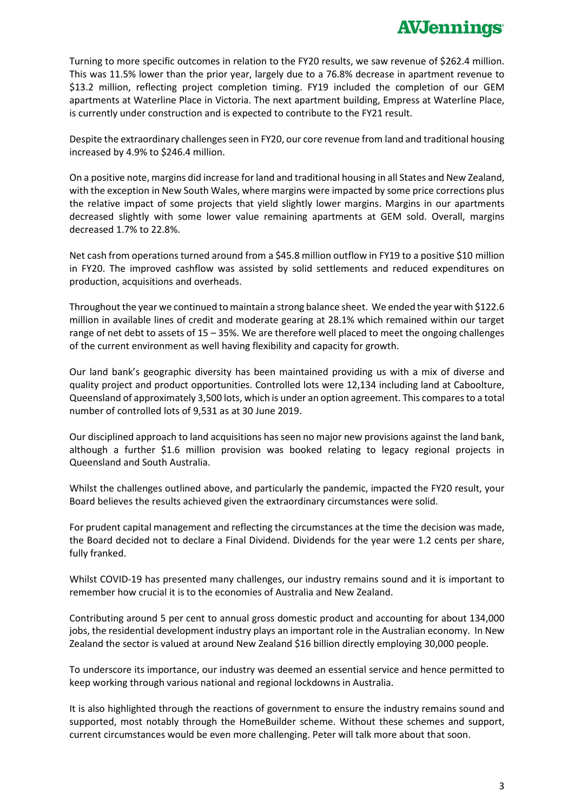Turning to more specific outcomes in relation to the FY20 results, we saw revenue of \$262.4 million. This was 11.5% lower than the prior year, largely due to a 76.8% decrease in apartment revenue to \$13.2 million, reflecting project completion timing. FY19 included the completion of our GEM apartments at Waterline Place in Victoria. The next apartment building, Empress at Waterline Place, is currently under construction and is expected to contribute to the FY21 result.

Despite the extraordinary challenges seen in FY20, our core revenue from land and traditional housing increased by 4.9% to \$246.4 million.

On a positive note, margins did increase for land and traditional housing in all States and New Zealand, with the exception in New South Wales, where margins were impacted by some price corrections plus the relative impact of some projects that yield slightly lower margins. Margins in our apartments decreased slightly with some lower value remaining apartments at GEM sold. Overall, margins decreased 1.7% to 22.8%.

Net cash from operations turned around from a \$45.8 million outflow in FY19 to a positive \$10 million in FY20. The improved cashflow was assisted by solid settlements and reduced expenditures on production, acquisitions and overheads.

Throughout the year we continued to maintain a strong balance sheet. We ended the year with \$122.6 million in available lines of credit and moderate gearing at 28.1% which remained within our target range of net debt to assets of 15 – 35%. We are therefore well placed to meet the ongoing challenges of the current environment as well having flexibility and capacity for growth.

Our land bank's geographic diversity has been maintained providing us with a mix of diverse and quality project and product opportunities. Controlled lots were 12,134 including land at Caboolture, Queensland of approximately 3,500 lots, which is under an option agreement. This compares to a total number of controlled lots of 9,531 as at 30 June 2019.

Our disciplined approach to land acquisitions has seen no major new provisions against the land bank, although a further \$1.6 million provision was booked relating to legacy regional projects in Queensland and South Australia.

Whilst the challenges outlined above, and particularly the pandemic, impacted the FY20 result, your Board believes the results achieved given the extraordinary circumstances were solid.

For prudent capital management and reflecting the circumstances at the time the decision was made, the Board decided not to declare a Final Dividend. Dividends for the year were 1.2 cents per share, fully franked.

Whilst COVID-19 has presented many challenges, our industry remains sound and it is important to remember how crucial it is to the economies of Australia and New Zealand.

Contributing around 5 per cent to annual gross domestic product and accounting for about 134,000 jobs, the residential development industry plays an important role in the Australian economy. In New Zealand the sector is valued at around New Zealand \$16 billion directly employing 30,000 people.

To underscore its importance, our industry was deemed an essential service and hence permitted to keep working through various national and regional lockdowns in Australia.

It is also highlighted through the reactions of government to ensure the industry remains sound and supported, most notably through the HomeBuilder scheme. Without these schemes and support, current circumstances would be even more challenging. Peter will talk more about that soon.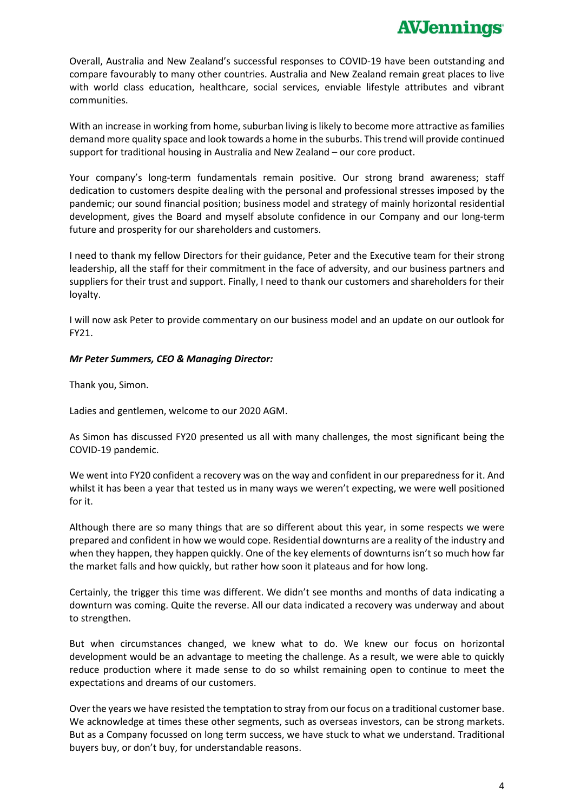Overall, Australia and New Zealand's successful responses to COVID-19 have been outstanding and compare favourably to many other countries. Australia and New Zealand remain great places to live with world class education, healthcare, social services, enviable lifestyle attributes and vibrant communities.

With an increase in working from home, suburban living is likely to become more attractive as families demand more quality space and look towards a home in the suburbs. This trend will provide continued support for traditional housing in Australia and New Zealand – our core product.

Your company's long-term fundamentals remain positive. Our strong brand awareness; staff dedication to customers despite dealing with the personal and professional stresses imposed by the pandemic; our sound financial position; business model and strategy of mainly horizontal residential development, gives the Board and myself absolute confidence in our Company and our long-term future and prosperity for our shareholders and customers.

I need to thank my fellow Directors for their guidance, Peter and the Executive team for their strong leadership, all the staff for their commitment in the face of adversity, and our business partners and suppliers for their trust and support. Finally, I need to thank our customers and shareholders for their loyalty.

I will now ask Peter to provide commentary on our business model and an update on our outlook for FY21.

## *Mr Peter Summers, CEO & Managing Director:*

Thank you, Simon.

Ladies and gentlemen, welcome to our 2020 AGM.

As Simon has discussed FY20 presented us all with many challenges, the most significant being the COVID-19 pandemic.

We went into FY20 confident a recovery was on the way and confident in our preparedness for it. And whilst it has been a year that tested us in many ways we weren't expecting, we were well positioned for it.

Although there are so many things that are so different about this year, in some respects we were prepared and confident in how we would cope. Residential downturns are a reality of the industry and when they happen, they happen quickly. One of the key elements of downturns isn't so much how far the market falls and how quickly, but rather how soon it plateaus and for how long.

Certainly, the trigger this time was different. We didn't see months and months of data indicating a downturn was coming. Quite the reverse. All our data indicated a recovery was underway and about to strengthen.

But when circumstances changed, we knew what to do. We knew our focus on horizontal development would be an advantage to meeting the challenge. As a result, we were able to quickly reduce production where it made sense to do so whilst remaining open to continue to meet the expectations and dreams of our customers.

Over the years we have resisted the temptation to stray from our focus on a traditional customer base. We acknowledge at times these other segments, such as overseas investors, can be strong markets. But as a Company focussed on long term success, we have stuck to what we understand. Traditional buyers buy, or don't buy, for understandable reasons.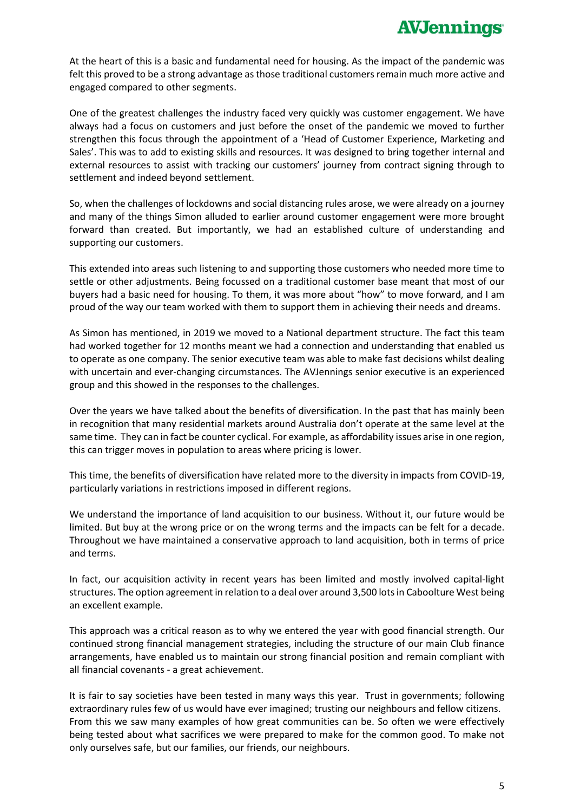At the heart of this is a basic and fundamental need for housing. As the impact of the pandemic was felt this proved to be a strong advantage as those traditional customers remain much more active and engaged compared to other segments.

One of the greatest challenges the industry faced very quickly was customer engagement. We have always had a focus on customers and just before the onset of the pandemic we moved to further strengthen this focus through the appointment of a 'Head of Customer Experience, Marketing and Sales'. This was to add to existing skills and resources. It was designed to bring together internal and external resources to assist with tracking our customers' journey from contract signing through to settlement and indeed beyond settlement.

So, when the challenges of lockdowns and social distancing rules arose, we were already on a journey and many of the things Simon alluded to earlier around customer engagement were more brought forward than created. But importantly, we had an established culture of understanding and supporting our customers.

This extended into areas such listening to and supporting those customers who needed more time to settle or other adjustments. Being focussed on a traditional customer base meant that most of our buyers had a basic need for housing. To them, it was more about "how" to move forward, and I am proud of the way our team worked with them to support them in achieving their needs and dreams.

As Simon has mentioned, in 2019 we moved to a National department structure. The fact this team had worked together for 12 months meant we had a connection and understanding that enabled us to operate as one company. The senior executive team was able to make fast decisions whilst dealing with uncertain and ever-changing circumstances. The AVJennings senior executive is an experienced group and this showed in the responses to the challenges.

Over the years we have talked about the benefits of diversification. In the past that has mainly been in recognition that many residential markets around Australia don't operate at the same level at the same time. They can in fact be counter cyclical. For example, as affordability issues arise in one region, this can trigger moves in population to areas where pricing is lower.

This time, the benefits of diversification have related more to the diversity in impacts from COVID-19, particularly variations in restrictions imposed in different regions.

We understand the importance of land acquisition to our business. Without it, our future would be limited. But buy at the wrong price or on the wrong terms and the impacts can be felt for a decade. Throughout we have maintained a conservative approach to land acquisition, both in terms of price and terms.

In fact, our acquisition activity in recent years has been limited and mostly involved capital-light structures. The option agreement in relation to a deal over around 3,500 lots in Caboolture West being an excellent example.

This approach was a critical reason as to why we entered the year with good financial strength. Our continued strong financial management strategies, including the structure of our main Club finance arrangements, have enabled us to maintain our strong financial position and remain compliant with all financial covenants - a great achievement.

It is fair to say societies have been tested in many ways this year. Trust in governments; following extraordinary rules few of us would have ever imagined; trusting our neighbours and fellow citizens. From this we saw many examples of how great communities can be. So often we were effectively being tested about what sacrifices we were prepared to make for the common good. To make not only ourselves safe, but our families, our friends, our neighbours.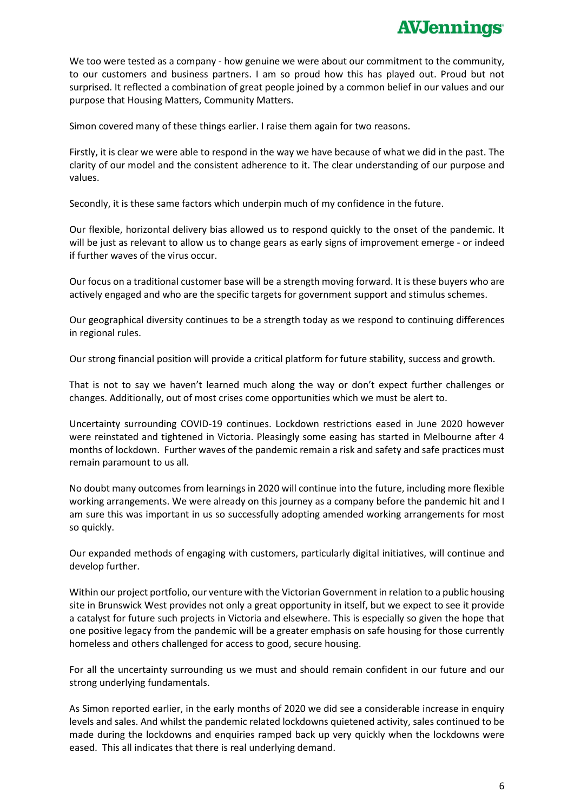## **AVJennings**

We too were tested as a company - how genuine we were about our commitment to the community. to our customers and business partners. I am so proud how this has played out. Proud but not surprised. It reflected a combination of great people joined by a common belief in our values and our purpose that Housing Matters, Community Matters.

Simon covered many of these things earlier. I raise them again for two reasons.

Firstly, it is clear we were able to respond in the way we have because of what we did in the past. The clarity of our model and the consistent adherence to it. The clear understanding of our purpose and values.

Secondly, it is these same factors which underpin much of my confidence in the future.

Our flexible, horizontal delivery bias allowed us to respond quickly to the onset of the pandemic. It will be just as relevant to allow us to change gears as early signs of improvement emerge - or indeed if further waves of the virus occur.

Our focus on a traditional customer base will be a strength moving forward. It is these buyers who are actively engaged and who are the specific targets for government support and stimulus schemes.

Our geographical diversity continues to be a strength today as we respond to continuing differences in regional rules.

Our strong financial position will provide a critical platform for future stability, success and growth.

That is not to say we haven't learned much along the way or don't expect further challenges or changes. Additionally, out of most crises come opportunities which we must be alert to.

Uncertainty surrounding COVID-19 continues. Lockdown restrictions eased in June 2020 however were reinstated and tightened in Victoria. Pleasingly some easing has started in Melbourne after 4 months of lockdown. Further waves of the pandemic remain a risk and safety and safe practices must remain paramount to us all.

No doubt many outcomes from learnings in 2020 will continue into the future, including more flexible working arrangements. We were already on this journey as a company before the pandemic hit and I am sure this was important in us so successfully adopting amended working arrangements for most so quickly.

Our expanded methods of engaging with customers, particularly digital initiatives, will continue and develop further.

Within our project portfolio, our venture with the Victorian Government in relation to a public housing site in Brunswick West provides not only a great opportunity in itself, but we expect to see it provide a catalyst for future such projects in Victoria and elsewhere. This is especially so given the hope that one positive legacy from the pandemic will be a greater emphasis on safe housing for those currently homeless and others challenged for access to good, secure housing.

For all the uncertainty surrounding us we must and should remain confident in our future and our strong underlying fundamentals.

As Simon reported earlier, in the early months of 2020 we did see a considerable increase in enquiry levels and sales. And whilst the pandemic related lockdowns quietened activity, sales continued to be made during the lockdowns and enquiries ramped back up very quickly when the lockdowns were eased. This all indicates that there is real underlying demand.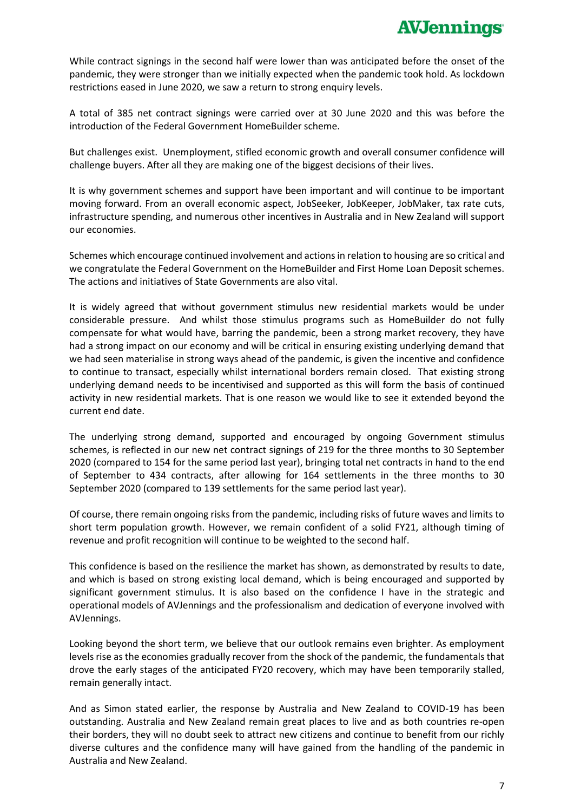While contract signings in the second half were lower than was anticipated before the onset of the pandemic, they were stronger than we initially expected when the pandemic took hold. As lockdown restrictions eased in June 2020, we saw a return to strong enquiry levels.

A total of 385 net contract signings were carried over at 30 June 2020 and this was before the introduction of the Federal Government HomeBuilder scheme.

But challenges exist. Unemployment, stifled economic growth and overall consumer confidence will challenge buyers. After all they are making one of the biggest decisions of their lives.

It is why government schemes and support have been important and will continue to be important moving forward. From an overall economic aspect, JobSeeker, JobKeeper, JobMaker, tax rate cuts, infrastructure spending, and numerous other incentives in Australia and in New Zealand will support our economies.

Schemes which encourage continued involvement and actions in relation to housing are so critical and we congratulate the Federal Government on the HomeBuilder and First Home Loan Deposit schemes. The actions and initiatives of State Governments are also vital.

It is widely agreed that without government stimulus new residential markets would be under considerable pressure. And whilst those stimulus programs such as HomeBuilder do not fully compensate for what would have, barring the pandemic, been a strong market recovery, they have had a strong impact on our economy and will be critical in ensuring existing underlying demand that we had seen materialise in strong ways ahead of the pandemic, is given the incentive and confidence to continue to transact, especially whilst international borders remain closed. That existing strong underlying demand needs to be incentivised and supported as this will form the basis of continued activity in new residential markets. That is one reason we would like to see it extended beyond the current end date.

The underlying strong demand, supported and encouraged by ongoing Government stimulus schemes, is reflected in our new net contract signings of 219 for the three months to 30 September 2020 (compared to 154 for the same period last year), bringing total net contracts in hand to the end of September to 434 contracts, after allowing for 164 settlements in the three months to 30 September 2020 (compared to 139 settlements for the same period last year).

Of course, there remain ongoing risks from the pandemic, including risks of future waves and limits to short term population growth. However, we remain confident of a solid FY21, although timing of revenue and profit recognition will continue to be weighted to the second half.

This confidence is based on the resilience the market has shown, as demonstrated by results to date, and which is based on strong existing local demand, which is being encouraged and supported by significant government stimulus. It is also based on the confidence I have in the strategic and operational models of AVJennings and the professionalism and dedication of everyone involved with AVJennings.

Looking beyond the short term, we believe that our outlook remains even brighter. As employment levels rise as the economies gradually recover from the shock of the pandemic, the fundamentals that drove the early stages of the anticipated FY20 recovery, which may have been temporarily stalled, remain generally intact.

And as Simon stated earlier, the response by Australia and New Zealand to COVID-19 has been outstanding. Australia and New Zealand remain great places to live and as both countries re-open their borders, they will no doubt seek to attract new citizens and continue to benefit from our richly diverse cultures and the confidence many will have gained from the handling of the pandemic in Australia and New Zealand.